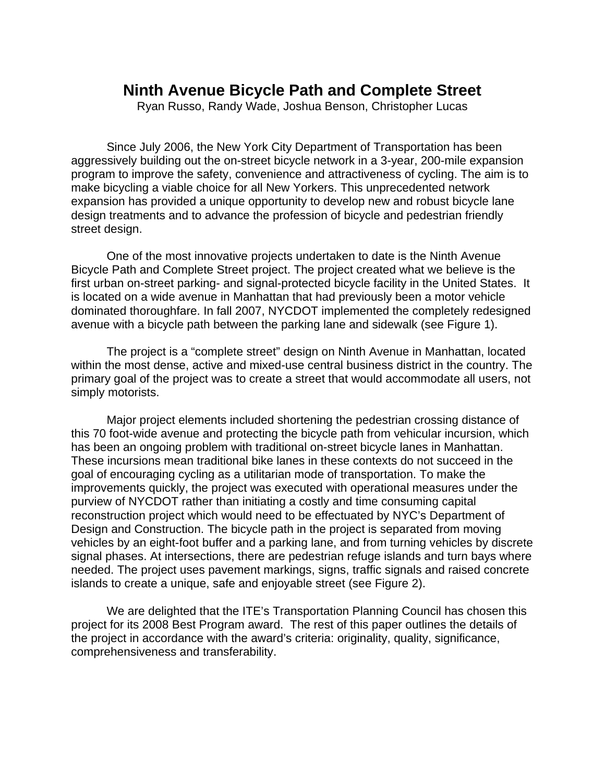# **Ninth Avenue Bicycle Path and Complete Street**

Ryan Russo, Randy Wade, Joshua Benson, Christopher Lucas

Since July 2006, the New York City Department of Transportation has been aggressively building out the on-street bicycle network in a 3-year, 200-mile expansion program to improve the safety, convenience and attractiveness of cycling. The aim is to make bicycling a viable choice for all New Yorkers. This unprecedented network expansion has provided a unique opportunity to develop new and robust bicycle lane design treatments and to advance the profession of bicycle and pedestrian friendly street design.

One of the most innovative projects undertaken to date is the Ninth Avenue Bicycle Path and Complete Street project. The project created what we believe is the first urban on-street parking- and signal-protected bicycle facility in the United States. It is located on a wide avenue in Manhattan that had previously been a motor vehicle dominated thoroughfare. In fall 2007, NYCDOT implemented the completely redesigned avenue with a bicycle path between the parking lane and sidewalk (see Figure 1).

The project is a "complete street" design on Ninth Avenue in Manhattan, located within the most dense, active and mixed-use central business district in the country. The primary goal of the project was to create a street that would accommodate all users, not simply motorists.

Major project elements included shortening the pedestrian crossing distance of this 70 foot-wide avenue and protecting the bicycle path from vehicular incursion, which has been an ongoing problem with traditional on-street bicycle lanes in Manhattan. These incursions mean traditional bike lanes in these contexts do not succeed in the goal of encouraging cycling as a utilitarian mode of transportation. To make the improvements quickly, the project was executed with operational measures under the purview of NYCDOT rather than initiating a costly and time consuming capital reconstruction project which would need to be effectuated by NYC's Department of Design and Construction. The bicycle path in the project is separated from moving vehicles by an eight-foot buffer and a parking lane, and from turning vehicles by discrete signal phases. At intersections, there are pedestrian refuge islands and turn bays where needed. The project uses pavement markings, signs, traffic signals and raised concrete islands to create a unique, safe and enjoyable street (see Figure 2).

We are delighted that the ITE's Transportation Planning Council has chosen this project for its 2008 Best Program award. The rest of this paper outlines the details of the project in accordance with the award's criteria: originality, quality, significance, comprehensiveness and transferability.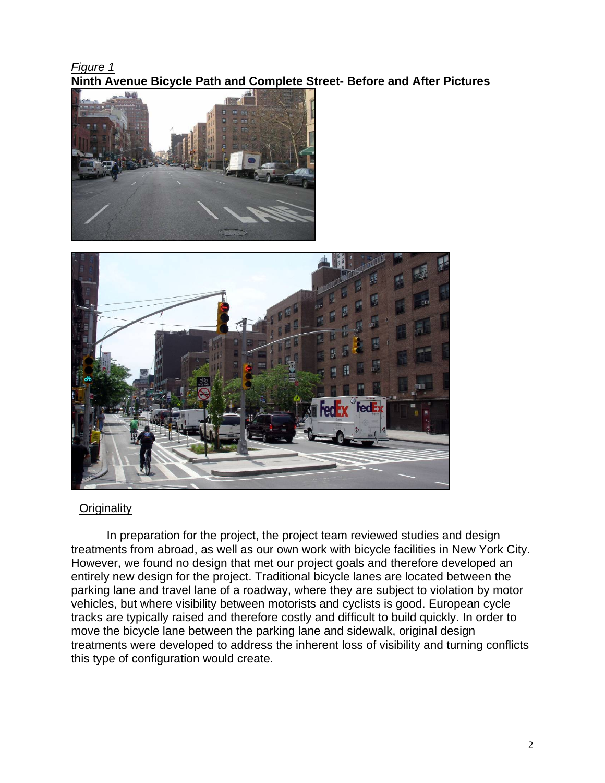# *Figure 1* **Ninth Avenue Bicycle Path and Complete Street- Before and After Pictures**





# **Originality**

In preparation for the project, the project team reviewed studies and design treatments from abroad, as well as our own work with bicycle facilities in New York City. However, we found no design that met our project goals and therefore developed an entirely new design for the project. Traditional bicycle lanes are located between the parking lane and travel lane of a roadway, where they are subject to violation by motor vehicles, but where visibility between motorists and cyclists is good. European cycle tracks are typically raised and therefore costly and difficult to build quickly. In order to move the bicycle lane between the parking lane and sidewalk, original design treatments were developed to address the inherent loss of visibility and turning conflicts this type of configuration would create.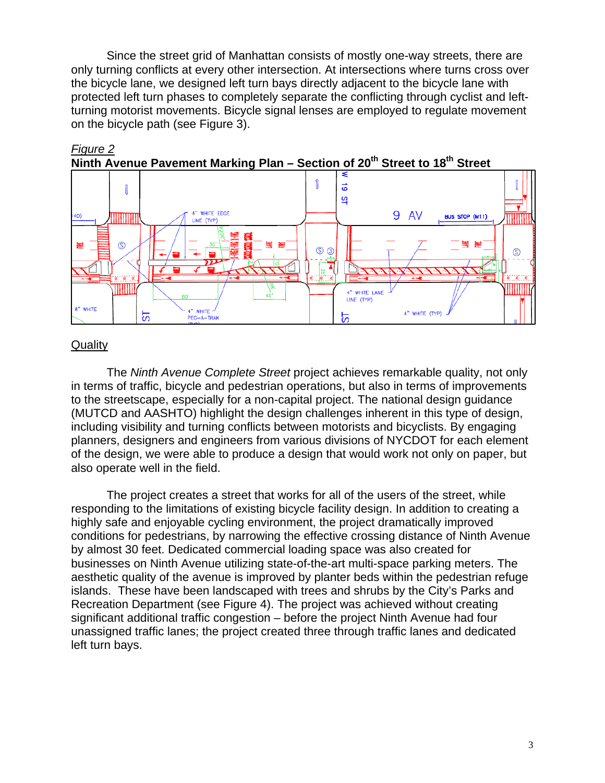Since the street grid of Manhattan consists of mostly one-way streets, there are only turning conflicts at every other intersection. At intersections where turns cross over the bicycle lane, we designed left turn bays directly adjacent to the bicycle lane with protected left turn phases to completely separate the conflicting through cyclist and leftturning motorist movements. Bicycle signal lenses are employed to regulate movement on the bicycle path (see Figure 3).





# **Quality**

The *Ninth Avenue Complete Street* project achieves remarkable quality, not only in terms of traffic, bicycle and pedestrian operations, but also in terms of improvements to the streetscape, especially for a non-capital project. The national design guidance (MUTCD and AASHTO) highlight the design challenges inherent in this type of design, including visibility and turning conflicts between motorists and bicyclists. By engaging planners, designers and engineers from various divisions of NYCDOT for each element of the design, we were able to produce a design that would work not only on paper, but also operate well in the field.

The project creates a street that works for all of the users of the street, while responding to the limitations of existing bicycle facility design. In addition to creating a highly safe and enjoyable cycling environment, the project dramatically improved conditions for pedestrians, by narrowing the effective crossing distance of Ninth Avenue by almost 30 feet. Dedicated commercial loading space was also created for businesses on Ninth Avenue utilizing state-of-the-art multi-space parking meters. The aesthetic quality of the avenue is improved by planter beds within the pedestrian refuge islands. These have been landscaped with trees and shrubs by the City's Parks and Recreation Department (see Figure 4). The project was achieved without creating significant additional traffic congestion – before the project Ninth Avenue had four unassigned traffic lanes; the project created three through traffic lanes and dedicated left turn bays.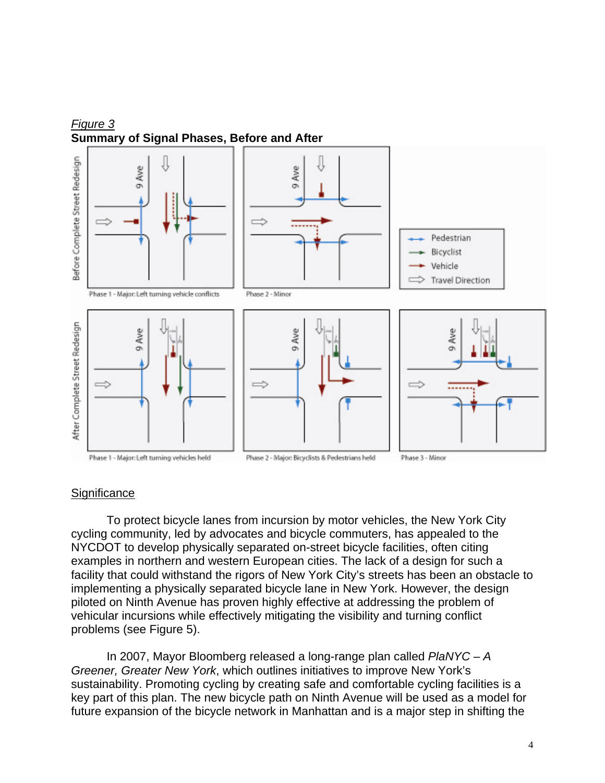



#### **Significance**

To protect bicycle lanes from incursion by motor vehicles, the New York City cycling community, led by advocates and bicycle commuters, has appealed to the NYCDOT to develop physically separated on-street bicycle facilities, often citing examples in northern and western European cities. The lack of a design for such a facility that could withstand the rigors of New York City's streets has been an obstacle to implementing a physically separated bicycle lane in New York. However, the design piloted on Ninth Avenue has proven highly effective at addressing the problem of vehicular incursions while effectively mitigating the visibility and turning conflict problems (see Figure 5).

In 2007, Mayor Bloomberg released a long-range plan called *PlaNYC – A Greener, Greater New York*, which outlines initiatives to improve New York's sustainability. Promoting cycling by creating safe and comfortable cycling facilities is a key part of this plan. The new bicycle path on Ninth Avenue will be used as a model for future expansion of the bicycle network in Manhattan and is a major step in shifting the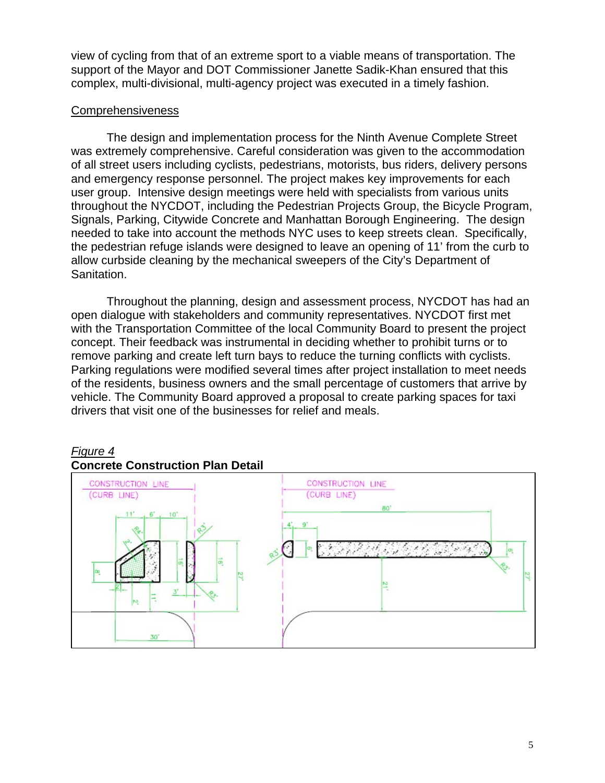view of cycling from that of an extreme sport to a viable means of transportation. The support of the Mayor and DOT Commissioner Janette Sadik-Khan ensured that this complex, multi-divisional, multi-agency project was executed in a timely fashion.

# **Comprehensiveness**

The design and implementation process for the Ninth Avenue Complete Street was extremely comprehensive. Careful consideration was given to the accommodation of all street users including cyclists, pedestrians, motorists, bus riders, delivery persons and emergency response personnel. The project makes key improvements for each user group. Intensive design meetings were held with specialists from various units throughout the NYCDOT, including the Pedestrian Projects Group, the Bicycle Program, Signals, Parking, Citywide Concrete and Manhattan Borough Engineering. The design needed to take into account the methods NYC uses to keep streets clean. Specifically, the pedestrian refuge islands were designed to leave an opening of 11' from the curb to allow curbside cleaning by the mechanical sweepers of the City's Department of Sanitation.

Throughout the planning, design and assessment process, NYCDOT has had an open dialogue with stakeholders and community representatives. NYCDOT first met with the Transportation Committee of the local Community Board to present the project concept. Their feedback was instrumental in deciding whether to prohibit turns or to remove parking and create left turn bays to reduce the turning conflicts with cyclists. Parking regulations were modified several times after project installation to meet needs of the residents, business owners and the small percentage of customers that arrive by vehicle. The Community Board approved a proposal to create parking spaces for taxi drivers that visit one of the businesses for relief and meals.



#### *Figure 4* **Concrete Construction Plan Detail**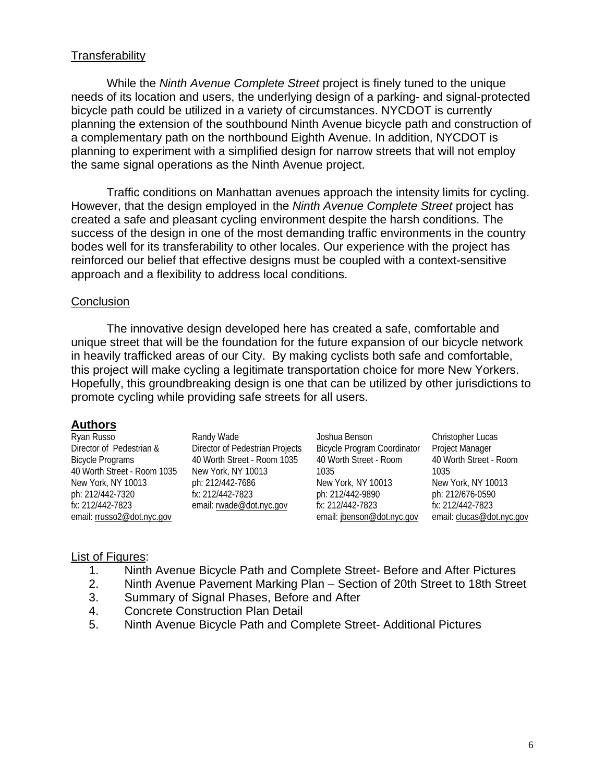# **Transferability**

While the *Ninth Avenue Complete Street* project is finely tuned to the unique needs of its location and users, the underlying design of a parking- and signal-protected bicycle path could be utilized in a variety of circumstances. NYCDOT is currently planning the extension of the southbound Ninth Avenue bicycle path and construction of a complementary path on the northbound Eighth Avenue. In addition, NYCDOT is planning to experiment with a simplified design for narrow streets that will not employ the same signal operations as the Ninth Avenue project.

Traffic conditions on Manhattan avenues approach the intensity limits for cycling. However, that the design employed in the *Ninth Avenue Complete Street* project has created a safe and pleasant cycling environment despite the harsh conditions. The success of the design in one of the most demanding traffic environments in the country bodes well for its transferability to other locales. Our experience with the project has reinforced our belief that effective designs must be coupled with a context-sensitive approach and a flexibility to address local conditions.

#### **Conclusion**

The innovative design developed here has created a safe, comfortable and unique street that will be the foundation for the future expansion of our bicycle network in heavily trafficked areas of our City. By making cyclists both safe and comfortable, this project will make cycling a legitimate transportation choice for more New Yorkers. Hopefully, this groundbreaking design is one that can be utilized by other jurisdictions to promote cycling while providing safe streets for all users.

#### **Authors**

| Ryan Russo                  | Randy Wade                      | Joshua Benson                      |
|-----------------------------|---------------------------------|------------------------------------|
| Director of Pedestrian &    | Director of Pedestrian Projects | <b>Bicycle Program Coordinator</b> |
| <b>Bicycle Programs</b>     | 40 Worth Street - Room 1035     | 40 Worth Street - Room             |
| 40 Worth Street - Room 1035 | New York, NY 10013              | 1035                               |
| New York, NY 10013          | ph: 212/442-7686                | New York, NY 10013                 |
| ph: 212/442-7320            | fx: 212/442-7823                | ph: 212/442-9890                   |
| fx: 212/442-7823            | email: rwade@dot.nyc.gov        | fx: 212/442-7823                   |
| email: rrusso2@dot.nyc.gov  |                                 | email: jbenson@dot.nyc.gov         |
|                             |                                 |                                    |

email: jbenson@dot.nyc.gov email: clucas@dot.nyc.gov Christopher Lucas Project Manager 40 Worth Street - Room 1035 New York, NY 10013 ph: 212/676-0590 fx: 212/442-7823

### List of Figures:

- 1. Ninth Avenue Bicycle Path and Complete Street- Before and After Pictures
- 2. Ninth Avenue Pavement Marking Plan Section of 20th Street to 18th Street
- 3. Summary of Signal Phases, Before and After
- 4. Concrete Construction Plan Detail
- 5. Ninth Avenue Bicycle Path and Complete Street- Additional Pictures